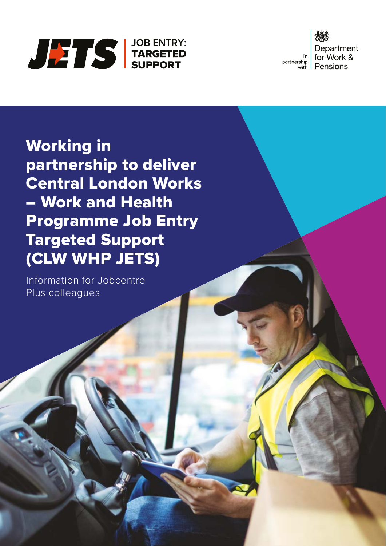



Working in partnership to deliver Central London Works – Work and Health Programme Job Entry Targeted Support (CLW WHP JETS)

Information for Jobcentre Plus colleagues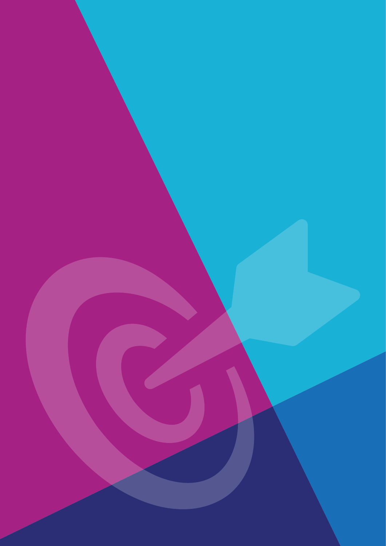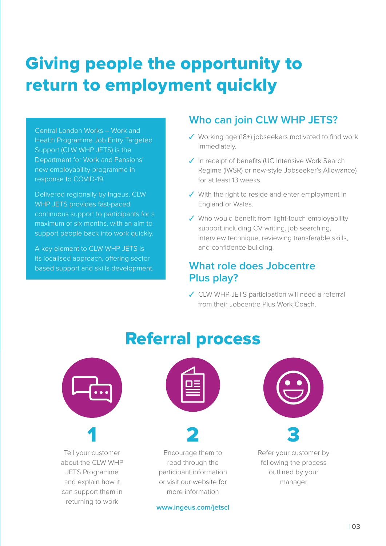## Giving people the opportunity to return to employment quickly

Central London Works – Work and Health Programme Job Entry Targeted Support (CLW WHP JETS) is the Department for Work and Pensions' new employability programme in response to COVID-19.

Delivered regionally by Ingeus, CLW WHP JETS provides fast-paced continuous support to participants for a maximum of six months, with an aim to support people back into work quickly.

A key element to CLW WHP JETS is its localised approach, offering sector based support and skills development.

## **Who can join CLW WHP JETS?**

- ✓ Working age (18+) jobseekers motivated to find work immediately.
- ✓ In receipt of benefits (UC Intensive Work Search Regime (IWSR) or new-style Jobseeker's Allowance) for at least 13 weeks.
- ✓ With the right to reside and enter employment in England or Wales.
- ✓ Who would benefit from light-touch employability support including CV writing, job searching, interview technique, reviewing transferable skills, and confidence building.

### **What role does Jobcentre Plus play?**

✓ CLW WHP JETS participation will need a referral from their Jobcentre Plus Work Coach.

## Referral process



1 Tell your customer about the CLW WHP JETS Programme and explain how it can support them in returning to work





Encourage them to read through the participant information or visit our website for more information

**[www.ingeus.com/jetsc](http://www.ingeus.com/jetsnw)l**



3 Refer your customer by following the process outlined by your manager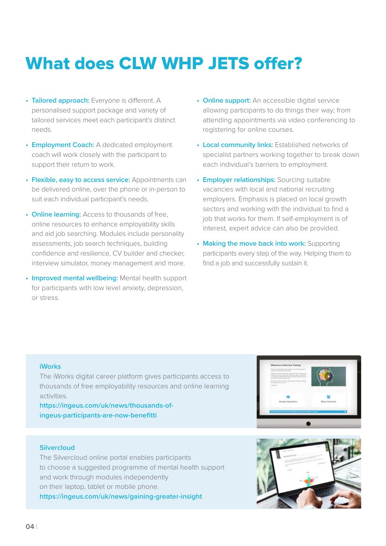## What does CLW WHP JETS offer?

- **Tailored approach:** Everyone is different. A personalised support package and variety of tailored services meet each participant's distinct needs.
- **Employment Coach:** A dedicated employment coach will work closely with the participant to support their return to work.
- **Flexible, easy to access service:** Appointments can be delivered online, over the phone or in-person to suit each individual participant's needs.
- **Online learning:** Access to thousands of free, online resources to enhance employability skills and aid job searching. Modules include personality assessments, job search techniques, building confidence and resilience, CV builder and checker, interview simulator, money management and more.
- **Improved mental wellbeing:** Mental health support for participants with low level anxiety, depression, or stress.
- **Online support:** An accessible digital service allowing participants to do things their way; from attending appointments via video conferencing to registering for online courses.
- **Local community links:** Established networks of specialist partners working together to break down each individual's barriers to employment.
- **Employer relationships:** Sourcing suitable vacancies with local and national recruiting employers. Emphasis is placed on local growth sectors and working with the individual to find a job that works for them. If self-employment is of interest, expert advice can also be provided.
- **Making the move back into work:** Supporting participants every step of the way. Helping them to find a job and successfully sustain it.

#### **iWorks**

The iWorks digital career platform gives participants access to thousands of free employability resources and online learning activities.

**https://ingeus.com/uk/news/thousands-ofingeus-participants-are-now-benefitti**

#### **Silvercloud**

The Silvercloud online portal enables participants to choose a suggested programme of mental health support and work through modules independently on their laptop, tablet or mobile phone. **https://ingeus.com/uk/news/gaining-greater-insight**



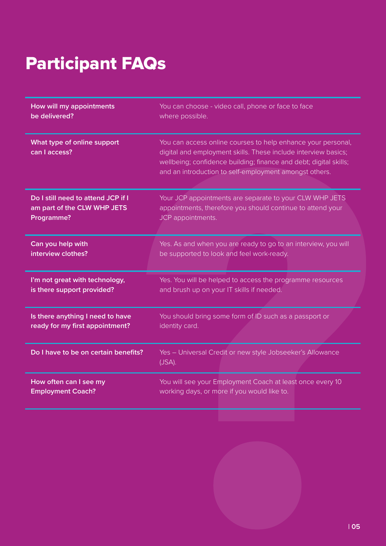# Participant FAQs

| How will my appointments                     | You can choose - video call, phone or face to face                                                                                                                                                                                                            |
|----------------------------------------------|---------------------------------------------------------------------------------------------------------------------------------------------------------------------------------------------------------------------------------------------------------------|
| be delivered?                                | where possible.                                                                                                                                                                                                                                               |
| What type of online support<br>can I access? | You can access online courses to help enhance your personal,<br>digital and employment skills. These include interview basics;<br>wellbeing; confidence building; finance and debt; digital skills;<br>and an introduction to self-employment amongst others. |
| Do I still need to attend JCP if I           | Your JCP appointments are separate to your CLW WHP JETS                                                                                                                                                                                                       |
| am part of the CLW WHP JETS                  | appointments, therefore you should continue to attend your                                                                                                                                                                                                    |
| Programme?                                   | JCP appointments.                                                                                                                                                                                                                                             |
| Can you help with                            | Yes. As and when you are ready to go to an interview, you will                                                                                                                                                                                                |
| interview clothes?                           | be supported to look and feel work-ready.                                                                                                                                                                                                                     |
| I'm not great with technology,               | Yes. You will be helped to access the programme resources                                                                                                                                                                                                     |
| is there support provided?                   | and brush up on your IT skills if needed.                                                                                                                                                                                                                     |
| Is there anything I need to have             | You should bring some form of ID such as a passport or                                                                                                                                                                                                        |
| ready for my first appointment?              | identity card.                                                                                                                                                                                                                                                |
| Do I have to be on certain benefits?         | Yes - Universal Credit or new style Jobseeker's Allowance<br>(JSA).                                                                                                                                                                                           |
| How often can I see my                       | You will see your Employment Coach at least once every 10                                                                                                                                                                                                     |
| <b>Employment Coach?</b>                     | working days, or more if you would like to.                                                                                                                                                                                                                   |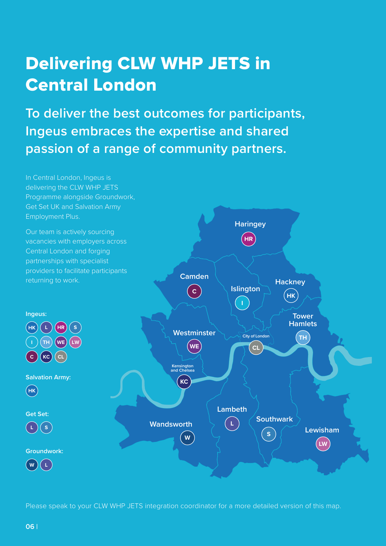## Delivering CLW WHP JETS in Central London

**To deliver the best outcomes for participants, Ingeus embraces the expertise and shared passion of a range of community partners.** 



Please speak to your CLW WHP JETS integration coordinator for a more detailed version of this map.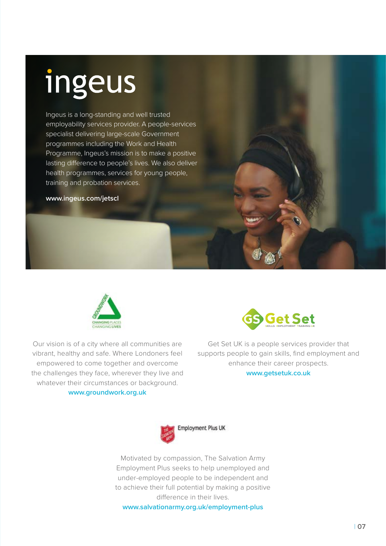# ingeus

Ingeus is a long-standing and well trusted employability services provider. A people-services specialist delivering large-scale Government programmes including the Work and Health Programme, Ingeus's mission is to make a positive lasting difference to people's lives. We also deliver health programmes, services for young people, training and probation services.

#### **[www.ingeus.com/jets](http://www.ingeus.com/jetsnw)cl**



Get Set

Our vision is of a city where all communities are vibrant, healthy and safe. Where Londoners feel empowered to come together and overcome the challenges they face, wherever they live and whatever their circumstances or background. **www.groundwork.org.uk**

Get Set UK is a people services provider that supports people to gain skills, find employment and enhance their career prospects.

#### **www.getsetuk.co.uk**



**Employment Plus UK** 

Motivated by compassion, The Salvation Army Employment Plus seeks to help unemployed and under-employed people to be independent and to achieve their full potential by making a positive difference in their lives.

**www.salvationarmy.org.uk/employment-plus**